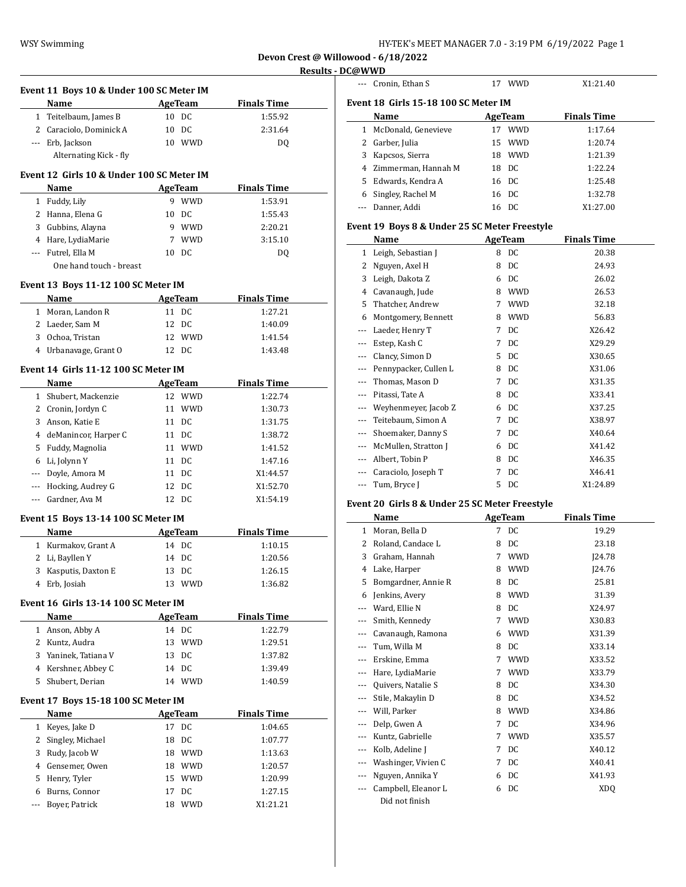--- Cronin, Ethan S 17 WWD X1:21.40

**Devon Crest @ Willowood - 6/18/2022 Results - DC@WWD**

 $\frac{1}{2}$ 

 $\frac{1}{2}$ 

|              | Event 11 Boys 10 & Under 100 SC Meter IM  |    |                |                    |  |
|--------------|-------------------------------------------|----|----------------|--------------------|--|
|              | Name                                      |    | <b>AgeTeam</b> | <b>Finals Time</b> |  |
|              | 1 Teitelbaum, James B                     |    | 10 DC          | 1:55.92            |  |
|              | 2 Caraciolo, Dominick A                   |    | 10 DC          | 2:31.64            |  |
|              | --- Erb, Jackson                          |    | 10 WWD         | DQ                 |  |
|              | Alternating Kick - fly                    |    |                |                    |  |
|              | Event 12 Girls 10 & Under 100 SC Meter IM |    |                |                    |  |
|              | Name                                      |    | <b>AgeTeam</b> | <b>Finals Time</b> |  |
|              | 1 Fuddy, Lily                             |    | 9 WWD          | 1:53.91            |  |
|              | 2 Hanna, Elena G                          |    | 10 DC          | 1:55.43            |  |
|              | 3 Gubbins, Alayna                         |    | 9 WWD          | 2:20.21            |  |
|              | 4 Hare, LydiaMarie                        |    | 7 WWD          | 3:15.10            |  |
|              | --- Futrel, Ella M                        |    | 10 DC          | DQ                 |  |
|              | One hand touch - breast                   |    |                |                    |  |
|              | Event 13 Boys 11-12 100 SC Meter IM       |    |                |                    |  |
|              | Name                                      |    | <b>AgeTeam</b> | <b>Finals Time</b> |  |
|              | 1 Moran, Landon R                         |    | 11 DC          | 1:27.21            |  |
|              | 2 Laeder, Sam M                           |    | 12 DC          | 1:40.09            |  |
|              | 3 Ochoa, Tristan                          |    | 12 WWD         | 1:41.54            |  |
|              | 4 Urbanavage, Grant O                     |    | 12 DC          | 1:43.48            |  |
|              |                                           |    |                |                    |  |
|              | Event 14 Girls 11-12 100 SC Meter IM      |    |                |                    |  |
|              | Name                                      |    | <b>AgeTeam</b> | <b>Finals Time</b> |  |
|              | 1 Shubert, Mackenzie                      |    | 12 WWD         | 1:22.74            |  |
|              | 2 Cronin, Jordyn C                        |    | 11 WWD         | 1:30.73            |  |
|              | 3 Anson, Katie E                          |    | 11 DC          | 1:31.75            |  |
|              | 4 deManincor, Harper C                    |    | 11 DC          | 1:38.72            |  |
|              | 5 Fuddy, Magnolia                         |    | 11 WWD         | 1:41.52            |  |
|              | 6 Li, Jolynn Y                            |    | 11 DC          | 1:47.16            |  |
|              | --- Doyle, Amora M                        |    | 11 DC          | X1:44.57           |  |
|              | --- Hocking, Audrey G                     |    | 12 DC          | X1:52.70           |  |
|              | --- Gardner, Ava M                        |    | 12 DC          | X1:54.19           |  |
|              | Event 15 Boys 13-14 100 SC Meter IM       |    |                |                    |  |
|              | <b>Name</b>                               |    | <b>AgeTeam</b> | <b>Finals Time</b> |  |
|              | 1 Kurmakov, Grant A                       |    | 14 DC          | 1:10.15            |  |
|              | 2 Li, Bayllen Y                           |    | 14 DC          | 1:20.56            |  |
| 3            | Kasputis, Daxton E                        |    | 13 DC          | 1:26.15            |  |
| 4            | Erb, Josiah                               |    | 13 WWD         | 1:36.82            |  |
|              | Event 16 Girls 13-14 100 SC Meter IM      |    |                |                    |  |
|              | Name                                      |    | AgeTeam        | <b>Finals Time</b> |  |
| $\mathbf{1}$ | Anson, Abby A                             |    | 14 DC          | 1:22.79            |  |
|              | 2 Kuntz, Audra                            | 13 | <b>WWD</b>     | 1:29.51            |  |
|              | 3 Yaninek, Tatiana V                      | 13 | DC             | 1:37.82            |  |
|              | 4 Kershner, Abbey C                       | 14 | DC             | 1:39.49            |  |
| 5            | Shubert, Derian                           |    | 14 WWD         | 1:40.59            |  |
|              | Event 17 Boys 15-18 100 SC Meter IM       |    |                |                    |  |
|              | Name                                      |    | AgeTeam        | <b>Finals Time</b> |  |
|              | 1 Keyes, Jake D                           |    | 17 DC          | 1:04.65            |  |
|              | 2 Singley, Michael                        | 18 | DC             | 1:07.77            |  |
|              | 3 Rudy, Jacob W                           |    | 18 WWD         | 1:13.63            |  |
|              | 4 Gensemer, Owen                          |    | 18 WWD         | 1:20.57            |  |
|              | 5 Henry, Tyler                            |    | 15 WWD         | 1:20.99            |  |
|              | 6 Burns, Connor                           | 17 | DC             | 1:27.15            |  |
| ---          | Boyer, Patrick                            | 18 | <b>WWD</b>     | X1:21.21           |  |
|              |                                           |    |                |                    |  |

| Event 18  Girls 15-18 100 SC Meter IM |                                                 |    |                |                    |  |  |  |
|---------------------------------------|-------------------------------------------------|----|----------------|--------------------|--|--|--|
|                                       | Name                                            |    | AgeTeam        | <b>Finals Time</b> |  |  |  |
| 1                                     | McDonald, Genevieve                             | 17 | WWD            | 1:17.64            |  |  |  |
| 2                                     | Garber, Julia                                   | 15 | <b>WWD</b>     | 1:20.74            |  |  |  |
| 3                                     | Kapcsos, Sierra                                 |    | 18 WWD         | 1:21.39            |  |  |  |
|                                       | 4 Zimmerman, Hannah M                           |    | 18 DC          | 1:22.24            |  |  |  |
| 5                                     | Edwards, Kendra A                               |    | 16 DC          | 1:25.48            |  |  |  |
| 6                                     | Singley, Rachel M                               |    | 16 DC          | 1:32.78            |  |  |  |
| ---                                   | Danner, Addi                                    |    | 16 DC          | X1:27.00           |  |  |  |
|                                       | Event 19 Boys 8 & Under 25 SC Meter Freestyle   |    |                |                    |  |  |  |
|                                       | Name                                            |    | AgeTeam        | <b>Finals Time</b> |  |  |  |
| 1                                     | Leigh, Sebastian J                              | 8  | DC             | 20.38              |  |  |  |
| 2                                     | Nguyen, Axel H                                  | 8  | DC             | 24.93              |  |  |  |
| 3                                     | Leigh, Dakota Z                                 |    | 6 DC           | 26.02              |  |  |  |
| 4                                     | Cavanaugh, Jude                                 |    | 8 WWD          | 26.53              |  |  |  |
| 5                                     | Thatcher, Andrew                                |    | 7 WWD          | 32.18              |  |  |  |
| 6                                     | Montgomery, Bennett                             |    | 8 WWD          | 56.83              |  |  |  |
| ---                                   | Laeder, Henry T                                 | 7  | DC             | X26.42             |  |  |  |
| ---                                   | Estep, Kash C                                   | 7  | DC             | X29.29             |  |  |  |
| ---                                   | Clancy, Simon D                                 | 5  | DC             | X30.65             |  |  |  |
| ---                                   | Pennypacker, Cullen L                           |    | 8 DC           | X31.06             |  |  |  |
| ---                                   | Thomas, Mason D                                 |    | 7 DC           | X31.35             |  |  |  |
| ---                                   | Pitassi, Tate A                                 | 8  | DC             | X33.41             |  |  |  |
| ---                                   | Weyhenmeyer, Jacob Z                            |    | 6 DC           | X37.25             |  |  |  |
| $- - -$                               | Teitebaum, Simon A                              |    | 7 DC           | X38.97             |  |  |  |
| ---                                   | Shoemaker, Danny S                              | 7  | DC             | X40.64             |  |  |  |
| ---                                   | McMullen, Stratton J                            |    | 6 DC           | X41.42             |  |  |  |
| ---                                   | Albert, Tobin P                                 |    | 8 DC           | X46.35             |  |  |  |
| ---                                   | Caraciolo, Joseph T                             |    | 7 DC           | X46.41             |  |  |  |
| ---                                   | Tum, Bryce J                                    | 5  | DC             | X1:24.89           |  |  |  |
|                                       | Event 20  Girls 8 & Under 25 SC Meter Freestyle |    |                |                    |  |  |  |
|                                       | Name                                            |    | <b>AgeTeam</b> | <b>Finals Time</b> |  |  |  |
| $\mathbf{1}$                          | Moran, Bella D                                  | 7  | DC             | 19.29              |  |  |  |
| 2                                     | Roland, Candace L                               | 8  | DC             | 23.18              |  |  |  |
| 3                                     | Graham, Hannah                                  | 7  | <b>WWD</b>     | ]24.78             |  |  |  |
| $\overline{4}$                        | Lake, Harper                                    | 8  | <b>WWD</b>     | 124.76             |  |  |  |
| 5                                     | Bomgardner, Annie R                             | 8  | DC             | 25.81              |  |  |  |
| 6                                     | Jenkins, Avery                                  | 8  | <b>WWD</b>     | 31.39              |  |  |  |
| ---                                   | Ward, Ellie N                                   | 8  | DC             | X24.97             |  |  |  |
|                                       | Smith, Kennedy                                  | 7  | <b>WWD</b>     | X30.83             |  |  |  |
| ---                                   | Cavanaugh, Ramona                               | 6  | <b>WWD</b>     | X31.39             |  |  |  |
| ---                                   | Tum. Willa M                                    | 8  | DC             | X33.14             |  |  |  |
| ---                                   | Erskine, Emma                                   | 7  | WWD            | X33.52             |  |  |  |
| ---                                   | Hare, LydiaMarie                                | 7  | WWD            | X33.79             |  |  |  |
| ---                                   | Quivers, Natalie S                              | 8  | DC             | X34.30             |  |  |  |
| ---                                   | Stile, Makaylin D                               | 8  | DC             | X34.52             |  |  |  |
| ---                                   | Will, Parker                                    | 8  | <b>WWD</b>     | X34.86             |  |  |  |
| ---                                   | Delp, Gwen A                                    | 7  | DC             | X34.96             |  |  |  |
| ---                                   | Kuntz, Gabrielle                                | 7  | <b>WWD</b>     | X35.57             |  |  |  |
| ---                                   | Kolb, Adeline J                                 | 7  | DC             | X40.12             |  |  |  |

--- Washinger, Vivien C 7 DC X40.41 --- Nguyen, Annika Y 6 DC X41.93 --- Campbell, Eleanor L 6 DC XDQ

Did not finish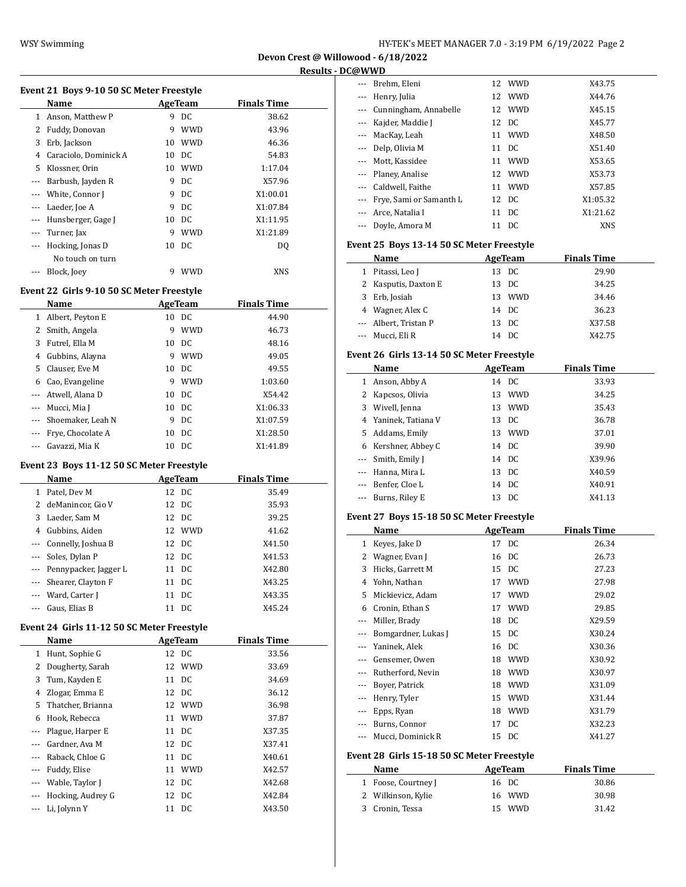| HY-TEK's MEET MANAGER 7.0 - 3:19 PM  6/19/2022  Page 2 |  |  |
|--------------------------------------------------------|--|--|
|--------------------------------------------------------|--|--|

| Event 21 Boys 9-10 50 SC Meter Freestyle |                       |    |            |                    |  |  |  |
|------------------------------------------|-----------------------|----|------------|--------------------|--|--|--|
|                                          | Name                  |    | AgeTeam    | <b>Finals Time</b> |  |  |  |
| 1                                        | Anson, Matthew P      | 9  | DC         | 38.62              |  |  |  |
| 2                                        | Fuddy, Donovan        | 9  | <b>WWD</b> | 43.96              |  |  |  |
| 3                                        | Erb, Jackson          | 10 | <b>WWD</b> | 46.36              |  |  |  |
| 4                                        | Caraciolo, Dominick A | 10 | - DC       | 54.83              |  |  |  |
| 5                                        | Klossner, Orin        | 10 | <b>WWD</b> | 1:17.04            |  |  |  |
| $- - -$                                  | Barbush, Jayden R     | 9  | DC         | X57.96             |  |  |  |
|                                          | White, Connor J       | 9  | DC.        | X1:00.01           |  |  |  |
| $\cdots$                                 | Laeder, Joe A         | 9  | DC         | X1:07.84           |  |  |  |
| $---$                                    | Hunsberger, Gage J    | 10 | DC.        | X1:11.95           |  |  |  |
| $---$                                    | Turner, Jax           | 9  | <b>WWD</b> | X1:21.89           |  |  |  |
| $---$                                    | Hocking, Jonas D      | 10 | -DC        | DO.                |  |  |  |
|                                          | No touch on turn      |    |            |                    |  |  |  |
|                                          | Block, Joey           | 9  | WWD        | <b>XNS</b>         |  |  |  |
|                                          |                       |    |            |                    |  |  |  |

## **Event 22 Girls 9-10 50 SC Meter Freestyle**

|          | Name<br>AgeTeam   |    |            | <b>Finals Time</b> |  |
|----------|-------------------|----|------------|--------------------|--|
| 1        | Albert, Peyton E  | 10 | DC.        | 44.90              |  |
| 2        | Smith, Angela     | 9  | <b>WWD</b> | 46.73              |  |
| 3        | Futrel, Ella M    | 10 | DC         | 48.16              |  |
| 4        | Gubbins, Alayna   | 9  | <b>WWD</b> | 49.05              |  |
|          | 5 Clauser, Eve M  | 10 | - DC       | 49.55              |  |
| 6        | Cao, Evangeline   | 9  | <b>WWD</b> | 1:03.60            |  |
| $\cdots$ | Atwell, Alana D   |    | 10 DC      | X54.42             |  |
|          | Mucci, Mia J      |    | 10 DC      | X1:06.33           |  |
|          | Shoemaker, Leah N | 9  | DC         | X1:07.59           |  |
|          | Frye, Chocolate A | 10 | DC         | X1:28.50           |  |
|          | Gavazzi, Mia K    | 10 | DC         | X1:41.89           |  |

## **Event 23 Boys 11-12 50 SC Meter Freestyle**

|              | <b>Name</b>               |    | AgeTeam | <b>Finals Time</b> |  |
|--------------|---------------------------|----|---------|--------------------|--|
| $\mathbf{1}$ | Patel, Dev M              |    | 12 DC   | 35.49              |  |
|              | 2 deManincor. Gio V       |    | 12 DC   | 35.93              |  |
|              | 3 Laeder, Sam M           |    | 12 DC   | 39.25              |  |
| 4            | Gubbins, Aiden            |    | 12 WWD  | 41.62              |  |
|              | --- Connelly, Joshua B    |    | 12 DC   | X41.50             |  |
|              | --- Soles, Dylan P        |    | 12 DC   | X41.53             |  |
|              | --- Pennypacker, Jagger L |    | 11 DC   | X42.80             |  |
|              | --- Shearer, Clayton F    |    | 11 DC   | X43.25             |  |
|              | --- Ward, Carter J        | 11 | DC      | X43.35             |  |
|              | --- Gaus, Elias B         | 11 | DC      | X45.24             |  |

## **Event 24 Girls 11-12 50 SC Meter Freestyle**

|     | Name              |    | AgeTeam    | <b>Finals Time</b> |
|-----|-------------------|----|------------|--------------------|
| 1   | Hunt, Sophie G    |    | 12 DC      | 33.56              |
| 2   | Dougherty, Sarah  |    | 12 WWD     | 33.69              |
| 3   | Tum, Kayden E     |    | 11 DC      | 34.69              |
| 4   | Zlogar, Emma E    |    | 12 DC      | 36.12              |
| 5.  | Thatcher, Brianna |    | 12 WWD     | 36.98              |
| 6   | Hook, Rebecca     | 11 | <b>WWD</b> | 37.87              |
|     | Plague, Harper E  | 11 | DC         | X37.35             |
|     | Gardner, Ava M    |    | 12 DC      | X37.41             |
|     | Raback, Chloe G   |    | 11 DC      | X40.61             |
|     | Fuddy, Elise      |    | 11 WWD     | X42.57             |
|     | Wable, Taylor J   |    | 12 DC      | X42.68             |
| --- | Hocking, Audrey G |    | 12 DC      | X42.84             |
|     | Li, Jolynn Y      |    | 11 DC      | X43.50             |

| ∟(ພwwD                   |                             |    |            |            |
|--------------------------|-----------------------------|----|------------|------------|
| $\cdots$                 | Brehm, Eleni                |    | 12 WWD     | X43.75     |
| $\overline{\phantom{a}}$ | Henry, Julia                |    | 12 WWD     | X44.76     |
| $\cdots$                 | Cunningham, Annabelle       |    | 12 WWD     | X45.15     |
| ---                      | Kajder, Maddie J            |    | 12 DC      | X45.77     |
|                          | --- MacKay, Leah            |    | 11 WWD     | X48.50     |
| $\cdots$                 | Delp, Olivia M              |    | 11 DC      | X51.40     |
|                          | --- Mott, Kassidee          | 11 | <b>WWD</b> | X53.65     |
|                          | --- Planey, Analise         |    | 12 WWD     | X53.73     |
| $\cdots$                 | Caldwell, Faithe            |    | 11 WWD     | X57.85     |
|                          | --- Frye, Sami or Samanth L |    | 12 DC      | X1:05.32   |
| $\overline{\phantom{a}}$ | Arce, Natalia I             | 11 | DC         | X1:21.62   |
|                          | Doyle, Amora M              |    | 11 DC      | <b>XNS</b> |

### **Event 25 Boys 13-14 50 SC Meter Freestyle**

| Name                  | AgeTeam |        | <b>Finals Time</b> |  |
|-----------------------|---------|--------|--------------------|--|
| 1 Pitassi, Leo J      |         | 13 DC  | 29.90              |  |
| 2 Kasputis, Daxton E  |         | 13 DC  | 34.25              |  |
| 3 Erb, Josiah         |         | 13 WWD | 34.46              |  |
| 4 Wagner, Alex C      |         | 14 DC  | 36.23              |  |
| --- Albert, Tristan P |         | 13 DC  | X37.58             |  |
| --- Mucci, Eli R      |         | 14 DC  | X42.75             |  |

### **Event 26 Girls 13-14 50 SC Meter Freestyle**

|          | Name                 |    | AgeTeam  | <b>Finals Time</b> |
|----------|----------------------|----|----------|--------------------|
| 1        | Anson, Abby A        |    | 14 DC    | 33.93              |
|          | Kapcsos, Olivia      | 13 | WWD      | 34.25              |
| 3        | Wivell, Jenna        | 13 | .<br>WWD | 35.43              |
|          | 4 Yaninek, Tatiana V |    | 13 DC    | 36.78              |
| 5        | Addams, Emily        | 13 | WWD      | 37.01              |
|          | 6 Kershner, Abbey C  |    | 14 DC    | 39.90              |
|          | --- Smith, Emily J   |    | 14 DC    | X39.96             |
|          | --- Hanna, Mira L    | 13 | DC       | X40.59             |
| $\cdots$ | Benfer, Cloe L       |    | 14 DC    | X40.91             |
|          | Burns, Riley E       | 13 | DC       | X41.13             |

### **Event 27 Boys 15-18 50 SC Meter Freestyle**

|                                            | Name                |    | <b>AgeTeam</b> | <b>Finals Time</b> |  |  |  |
|--------------------------------------------|---------------------|----|----------------|--------------------|--|--|--|
| $\mathbf{1}$                               | Keyes, Jake D       | 17 | DC             | 26.34              |  |  |  |
| 2                                          | Wagner, Evan J      | 16 | DC             | 26.73              |  |  |  |
| 3                                          | Hicks, Garrett M    | 15 | DC             | 27.23              |  |  |  |
| 4                                          | Yohn, Nathan        | 17 | <b>WWD</b>     | 27.98              |  |  |  |
| 5                                          | Mickievicz, Adam    | 17 | <b>WWD</b>     | 29.02              |  |  |  |
| 6                                          | Cronin, Ethan S     | 17 | <b>WWD</b>     | 29.85              |  |  |  |
| ---                                        | Miller, Brady       | 18 | DC             | X29.59             |  |  |  |
| ---                                        | Bomgardner, Lukas J | 15 | DC             | X30.24             |  |  |  |
|                                            | Yaninek, Alek       | 16 | DC.            | X30.36             |  |  |  |
|                                            | Gensemer, Owen      | 18 | <b>WWD</b>     | X30.92             |  |  |  |
| ---                                        | Rutherford, Nevin   | 18 | <b>WWD</b>     | X30.97             |  |  |  |
| $---$                                      | Boyer, Patrick      | 18 | <b>WWD</b>     | X31.09             |  |  |  |
|                                            | Henry, Tyler        | 15 | <b>WWD</b>     | X31.44             |  |  |  |
|                                            | Epps, Ryan          | 18 | <b>WWD</b>     | X31.79             |  |  |  |
|                                            | Burns, Connor       | 17 | DC             | X32.23             |  |  |  |
|                                            | Mucci, Dominick R   | 15 | DC             | X41.27             |  |  |  |
| Event 28 Girls 15-18 50 SC Meter Freestyle |                     |    |                |                    |  |  |  |
|                                            | Name                |    | <b>AgeTeam</b> | <b>Finals Time</b> |  |  |  |
| $\mathbf{1}$                               | Foose, Courtney J   | 16 | DC             | 30.86              |  |  |  |
| 2                                          | Wilkinson, Kylie    | 16 | <b>WWD</b>     | 30.98              |  |  |  |
| 3                                          | Cronin, Tessa       | 15 | WWD            | 31.42              |  |  |  |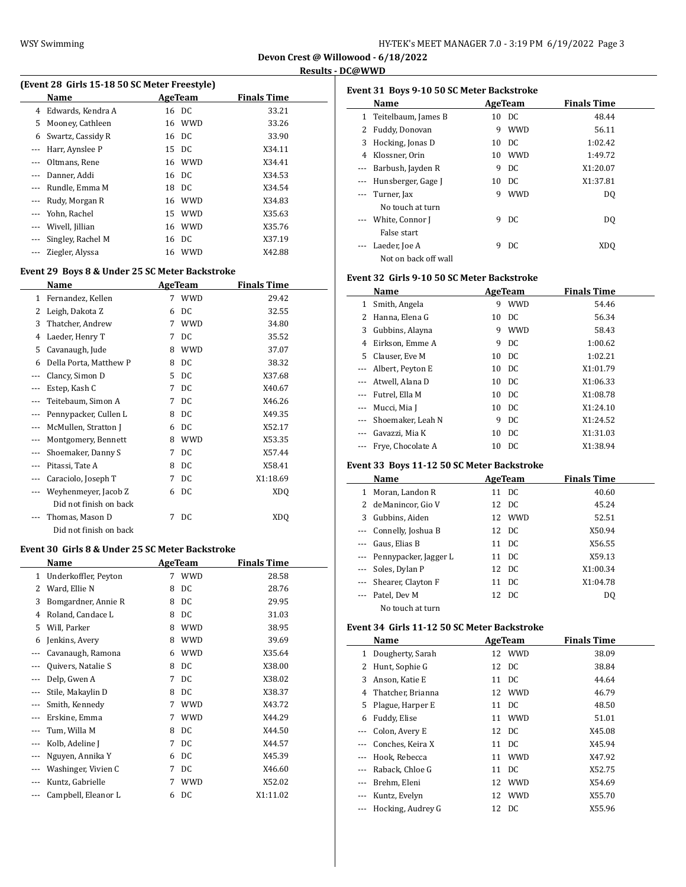$\overline{a}$ 

|      | (Event 28 Girls 15-18 50 SC Meter Freestyle) |    |
|------|----------------------------------------------|----|
| Nomo | $A \alpha \alpha$ Toom                       | п. |

|          | Name                | AgeTeam | <b>Finals Time</b> |  |
|----------|---------------------|---------|--------------------|--|
|          | 4 Edwards, Kendra A | 16 DC   | 33.21              |  |
| 5.       | Mooney, Cathleen    | 16 WWD  | 33.26              |  |
| 6        | Swartz, Cassidy R   | 16 DC   | 33.90              |  |
| $\cdots$ | Harr, Aynslee P     | 15 DC   | X34.11             |  |
|          | Oltmans, Rene       | 16 WWD  | X34.41             |  |
|          | Danner, Addi        | 16 DC   | X34.53             |  |
|          | Rundle, Emma M      | 18 DC   | X34.54             |  |
|          | --- Rudy, Morgan R  | 16 WWD  | X34.83             |  |
|          | --- Yohn, Rachel    | 15 WWD  | X35.63             |  |
|          | Wivell, Jillian     | 16 WWD  | X35.76             |  |
|          | Singley, Rachel M   | 16 DC   | X37.19             |  |
|          | Ziegler, Alyssa     | 16 WWD  | X42.88             |  |
|          |                     |         |                    |  |

# **Event 29 Boys 8 & Under 25 SC Meter Backstroke**

|          | Name                   |    | <b>AgeTeam</b> | <b>Finals Time</b> |
|----------|------------------------|----|----------------|--------------------|
| 1        | Fernandez, Kellen      | 7  | <b>WWD</b>     | 29.42              |
| 2        | Leigh, Dakota Z        | 6  | DC             | 32.55              |
| 3        | Thatcher, Andrew       | 7  | <b>WWD</b>     | 34.80              |
| 4        | Laeder, Henry T        | 7  | DC             | 35.52              |
| 5        | Cavanaugh, Jude        | 8  | <b>WWD</b>     | 37.07              |
| 6        | Della Porta, Matthew P | 8  | DC.            | 38.32              |
| $\cdots$ | Clancy, Simon D        | 5. | DC.            | X37.68             |
| $---$    | Estep, Kash C          | 7  | DC.            | X40.67             |
|          | Teitebaum, Simon A     | 7  | DC.            | X46.26             |
|          | Pennypacker, Cullen L  | 8  | DC.            | X49.35             |
|          | McMullen, Stratton J   | 6  | DC             | X52.17             |
| $\cdots$ | Montgomery, Bennett    | 8  | <b>WWD</b>     | X53.35             |
| $---$    | Shoemaker, Danny S     | 7  | DC             | X57.44             |
| $---$    | Pitassi, Tate A        | 8  | DC             | X58.41             |
|          | Caraciolo, Joseph T    | 7  | DC             | X1:18.69           |
|          | Weyhenmeyer, Jacob Z   | 6  | DC             | XD <sub>O</sub>    |
|          | Did not finish on back |    |                |                    |
| $---$    | Thomas, Mason D        | 7  | DC             | <b>XDQ</b>         |
|          | Did not finish on back |    |                |                    |

### **Event 30 Girls 8 & Under 25 SC Meter Backstroke**

|          | Name                 |   | AgeTeam    | <b>Finals Time</b> |
|----------|----------------------|---|------------|--------------------|
| 1        | Underkoffler, Peyton | 7 | <b>WWD</b> | 28.58              |
| 2        | Ward, Ellie N        | 8 | DC         | 28.76              |
| 3        | Bomgardner, Annie R  | 8 | DC         | 29.95              |
| 4        | Roland, Candace L    | 8 | DC         | 31.03              |
| 5        | Will, Parker         | 8 | <b>WWD</b> | 38.95              |
| 6        | Jenkins, Avery       | 8 | <b>WWD</b> | 39.69              |
| $---$    | Cavanaugh, Ramona    | 6 | <b>WWD</b> | X35.64             |
| ---      | Quivers, Natalie S   | 8 | DC         | X38.00             |
| $---$    | Delp, Gwen A         | 7 | DC         | X38.02             |
| ---      | Stile, Makaylin D    | 8 | DC         | X38.37             |
| $\cdots$ | Smith, Kennedy       | 7 | <b>WWD</b> | X43.72             |
| ---      | Erskine, Emma        | 7 | <b>WWD</b> | X44.29             |
| ---      | Tum, Willa M         | 8 | DC         | X44.50             |
| ---      | Kolb, Adeline J      | 7 | DC         | X44.57             |
| ---      | Nguyen, Annika Y     | 6 | DC         | X45.39             |
| $---$    | Washinger, Vivien C  | 7 | DC         | X46.60             |
|          | Kuntz, Gabrielle     | 7 | <b>WWD</b> | X52.02             |
|          | Campbell, Eleanor L  | 6 | DC         | X1:11.02           |

| Event 31 Boys 9-10 50 SC Meter Backstroke |                      |   |                |                    |  |  |
|-------------------------------------------|----------------------|---|----------------|--------------------|--|--|
|                                           | Name                 |   | <b>AgeTeam</b> | <b>Finals Time</b> |  |  |
| 1                                         | Teitelbaum, James B  |   | 10 DC          | 48.44              |  |  |
| 2                                         | Fuddy, Donovan       | 9 | <b>WWD</b>     | 56.11              |  |  |
| 3                                         | Hocking, Jonas D     |   | 10 DC          | 1:02.42            |  |  |
| 4                                         | Klossner, Orin       |   | 10 WWD         | 1:49.72            |  |  |
| $\cdots$                                  | Barbush, Jayden R    | 9 | DC             | X1:20.07           |  |  |
|                                           | Hunsberger, Gage J   |   | 10 DC          | X1:37.81           |  |  |
| $\cdots$                                  | Turner, Jax          | 9 | WWD            | DO                 |  |  |
|                                           | No touch at turn     |   |                |                    |  |  |
|                                           | --- White, Connor J  | 9 | DC.            | D <sub>0</sub>     |  |  |
|                                           | False start          |   |                |                    |  |  |
|                                           | Laeder, Joe A        | 9 | DC             | XD <sub>0</sub>    |  |  |
|                                           | Not on back off wall |   |                |                    |  |  |

## **Event 32 Girls 9-10 50 SC Meter Backstroke**

|          | Name                  |    | AgeTeam    | <b>Finals Time</b> |  |
|----------|-----------------------|----|------------|--------------------|--|
| 1        | Smith, Angela         | 9  | <b>WWD</b> | 54.46              |  |
| 2        | Hanna, Elena G        | 10 | DC         | 56.34              |  |
| 3        | Gubbins, Alayna       | 9  | <b>WWD</b> | 58.43              |  |
| 4        | Eirkson, Emme A       | 9  | DC         | 1:00.62            |  |
| 5.       | Clauser, Eve M        |    | 10 DC      | 1:02.21            |  |
|          | --- Albert, Peyton E  |    | 10 DC      | X1:01.79           |  |
|          | --- Atwell, Alana D   |    | 10 DC      | X1:06.33           |  |
|          | --- Futrel, Ella M    |    | 10 DC      | X1:08.78           |  |
|          | --- Mucci, Mia J      | 10 | DC         | X1:24.10           |  |
|          | --- Shoemaker, Leah N | 9  | DC         | X1:24.52           |  |
| $\cdots$ | Gavazzi, Mia K        | 10 | DC         | X1:31.03           |  |
| ---      | Frye, Chocolate A     | 10 | DC         | X1:38.94           |  |

## **Event 33 Boys 11-12 50 SC Meter Backstroke**

|              | Name                      | AgeTeam |        | <b>Finals Time</b> |
|--------------|---------------------------|---------|--------|--------------------|
| $\mathbf{1}$ | Moran, Landon R           |         | 11 DC  | 40.60              |
|              | 2 deManincor, Gio V       |         | 12 DC  | 45.24              |
|              | 3 Gubbins, Aiden          |         | 12 WWD | 52.51              |
|              | --- Connelly, Joshua B    |         | 12 DC  | X50.94             |
|              | --- Gaus, Elias B         |         | 11 DC  | X56.55             |
|              | --- Pennypacker, Jagger L |         | 11 DC  | X59.13             |
|              | --- Soles, Dylan P        |         | 12 DC  | X1:00.34           |
|              | --- Shearer, Clayton F    |         | 11 DC  | X1:04.78           |
|              | --- Patel, Dev M          |         | 12 DC  | DO.                |
|              | No touch at turn          |         |        |                    |

**Event 34 Girls 11-12 50 SC Meter Backstroke**

|          | Name              | AgeTeam |            | <b>Finals Time</b> |
|----------|-------------------|---------|------------|--------------------|
| 1        | Dougherty, Sarah  |         | 12 WWD     | 38.09              |
| 2        | Hunt, Sophie G    |         | 12 DC      | 38.84              |
| 3        | Anson, Katie E    | 11      | DC         | 44.64              |
| 4        | Thatcher, Brianna |         | 12 WWD     | 46.79              |
| 5.       | Plague, Harper E  | 11      | DC         | 48.50              |
| 6        | Fuddy, Elise      | 11      | <b>WWD</b> | 51.01              |
|          | Colon, Avery E    |         | 12 DC      | X45.08             |
|          | Conches, Keira X  | 11      | DC         | X45.94             |
| $\cdots$ | Hook, Rebecca     | 11      | <b>WWD</b> | X47.92             |
|          | Raback, Chloe G   | 11      | DC         | X52.75             |
|          | Brehm, Eleni      | 12      | WWD        | X54.69             |
|          | Kuntz, Evelyn     |         | 12 WWD     | X55.70             |
|          | Hocking, Audrey G |         | 12 DC      | X55.96             |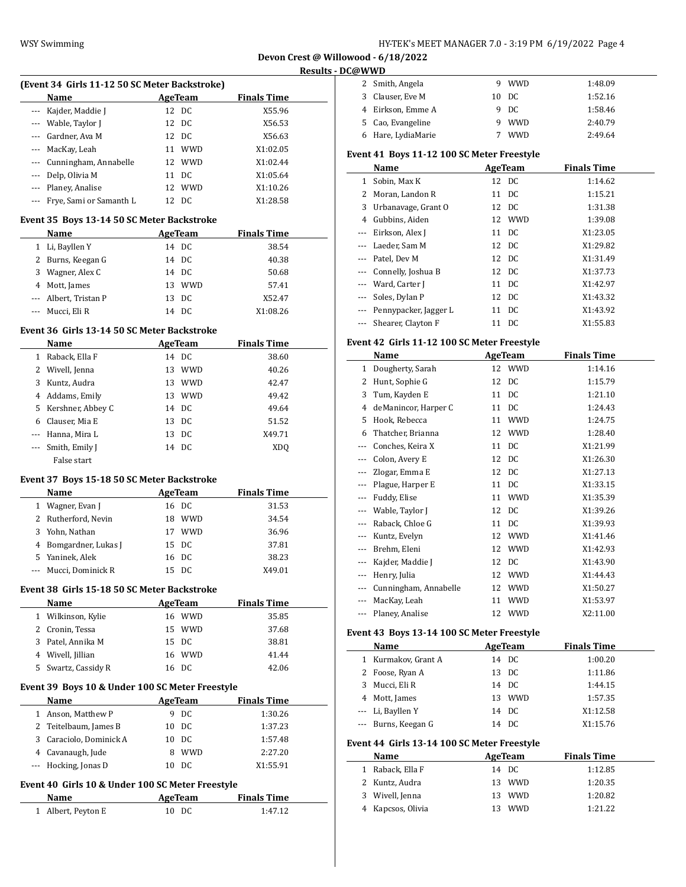| HY-TEK's MEET MANAGER 7.0 - 3:19 PM  6/19/2022  Page 4 |  |  |  |  |  |
|--------------------------------------------------------|--|--|--|--|--|
|--------------------------------------------------------|--|--|--|--|--|

| (Event 34 Girls 11-12 50 SC Meter Backstroke) |                                                  |    |                |                    |  |  |
|-----------------------------------------------|--------------------------------------------------|----|----------------|--------------------|--|--|
|                                               | Name                                             |    | <b>AgeTeam</b> | <b>Finals Time</b> |  |  |
| $---$                                         | Kajder, Maddie J                                 |    | 12 DC          | X55.96             |  |  |
|                                               | --- Wable, Taylor J                              | 12 | DC             | X56.53             |  |  |
|                                               | --- Gardner, Ava M                               | 12 | DC             | X56.63             |  |  |
|                                               | --- MacKay, Leah                                 |    | 11 WWD         | X1:02.05           |  |  |
|                                               | --- Cunningham, Annabelle                        | 12 | WWD            | X1:02.44           |  |  |
|                                               | --- Delp, Olivia M                               |    | 11 DC          | X1:05.64           |  |  |
|                                               | --- Planey, Analise                              |    | 12 WWD         | X1:10.26           |  |  |
|                                               | --- Frye, Sami or Samanth L                      |    | 12 DC          | X1:28.58           |  |  |
|                                               | Event 35 Boys 13-14 50 SC Meter Backstroke       |    |                |                    |  |  |
|                                               | Name                                             |    | AgeTeam        | <b>Finals Time</b> |  |  |
|                                               | 1 Li, Bayllen Y                                  |    | 14 DC          | 38.54              |  |  |
|                                               | 2 Burns, Keegan G                                |    | 14 DC          | 40.38              |  |  |
|                                               | 3 Wagner, Alex C                                 |    | 14 DC          | 50.68              |  |  |
|                                               | 4 Mott, James                                    |    | 13 WWD         | 57.41              |  |  |
|                                               | --- Albert, Tristan P                            |    | 13 DC          | X52.47             |  |  |
| ---                                           | Mucci, Eli R                                     |    | 14 DC          | X1:08.26           |  |  |
|                                               |                                                  |    |                |                    |  |  |
|                                               | Event 36 Girls 13-14 50 SC Meter Backstroke      |    |                |                    |  |  |
|                                               | Name                                             |    | AgeTeam        | <b>Finals Time</b> |  |  |
|                                               | 1 Raback, Ella F                                 |    | 14 DC          | 38.60              |  |  |
|                                               | 2 Wivell, Jenna                                  |    | 13 WWD         | 40.26              |  |  |
|                                               | 3 Kuntz, Audra                                   |    | 13 WWD         | 42.47              |  |  |
|                                               | 4 Addams, Emily                                  |    | 13 WWD         | 49.42              |  |  |
|                                               | 5 Kershner, Abbey C                              |    | 14 DC          | 49.64              |  |  |
|                                               | 6 Clauser, Mia E                                 |    | 13 DC          | 51.52              |  |  |
|                                               | --- Hanna, Mira L                                |    | 13 DC          | X49.71             |  |  |
|                                               | --- Smith, Emily J                               |    | 14 DC          | XDQ                |  |  |
|                                               | False start                                      |    |                |                    |  |  |
|                                               | Event 37 Boys 15-18 50 SC Meter Backstroke       |    |                |                    |  |  |
|                                               | Name                                             |    | <b>AgeTeam</b> | <b>Finals Time</b> |  |  |
|                                               | 1 Wagner, Evan J                                 |    | 16 DC          | 31.53              |  |  |
|                                               | 2 Rutherford, Nevin                              |    | 18 WWD         | 34.54              |  |  |
|                                               | 3 Yohn, Nathan                                   |    | 17 WWD         | 36.96              |  |  |
|                                               | 4 Bomgardner, Lukas J                            |    | 15 DC          | 37.81              |  |  |
|                                               | 5 Yaninek. Alek                                  |    | 16 DC          | 38.23              |  |  |
|                                               | Mucci, Dominick R                                | 15 | DC             | X49.01             |  |  |
|                                               | Event 38 Girls 15-18 50 SC Meter Backstroke      |    |                |                    |  |  |
|                                               | Name                                             |    | AgeTeam        | <b>Finals Time</b> |  |  |
|                                               | 1 Wilkinson, Kylie                               |    | 16 WWD         | 35.85              |  |  |
|                                               | 2 Cronin, Tessa                                  |    | 15 WWD         | 37.68              |  |  |
|                                               | 3 Patel, Annika M                                |    | 15 DC          | 38.81              |  |  |
|                                               | 4 Wivell, Jillian                                |    | 16 WWD         | 41.44              |  |  |
|                                               | 5 Swartz, Cassidy R                              |    | 16 DC          | 42.06              |  |  |
|                                               |                                                  |    |                |                    |  |  |
|                                               | Event 39 Boys 10 & Under 100 SC Meter Freestyle  |    |                |                    |  |  |
|                                               | Name                                             |    | <b>AgeTeam</b> | <b>Finals Time</b> |  |  |
|                                               | 1 Anson, Matthew P                               |    | 9 DC           | 1:30.26            |  |  |
|                                               | 2 Teitelbaum, James B                            | 10 | DC             | 1:37.23            |  |  |
|                                               | 3 Caraciolo, Dominick A                          |    | 10 DC          | 1:57.48            |  |  |
|                                               | 4 Cavanaugh, Jude                                |    | 8 WWD          | 2:27.20            |  |  |
| $---$                                         | Hocking, Jonas D                                 |    | 10 DC          | X1:55.91           |  |  |
|                                               | Event 40 Girls 10 & Under 100 SC Meter Freestyle |    |                |                    |  |  |
|                                               | Name                                             |    | <b>AgeTeam</b> | <b>Finals Time</b> |  |  |
|                                               | 1 Albert, Peyton E                               |    | 10 DC          | 1:47.12            |  |  |
|                                               |                                                  |    |                |                    |  |  |

| 2 Smith, Angela    | 9 WWD      | 1:48.09 |
|--------------------|------------|---------|
| 3 Clauser, Eve M   | 10 DC      | 1:52.16 |
| 4 Eirkson, Emme A  | 9 DC       | 1:58.46 |
| 5 Cao, Evangeline  | <b>WWD</b> | 2:40.79 |
| 6 Hare, LydiaMarie | <b>WWD</b> | 2:49.64 |
|                    |            |         |

# **Event 41 Boys 11-12 100 SC Meter Freestyle**

|   | Name                      | AgeTeam  | <b>Finals Time</b> |
|---|---------------------------|----------|--------------------|
| 1 | Sobin, Max K              | 12 DC    | 1:14.62            |
| 2 | Moran, Landon R           | 11 DC    | 1:15.21            |
| 3 | Urbanavage, Grant O       | 12 DC    | 1:31.38            |
| 4 | Gubbins, Aiden            | 12 WWD   | 1:39.08            |
|   | --- Eirkson, Alex J       | 11 DC    | X1:23.05           |
|   | --- Laeder, Sam M         | 12 DC    | X1:29.82           |
|   | --- Patel, Dev M          | 12 DC    | X1:31.49           |
|   | --- Connelly, Joshua B    | 12 DC    | X1:37.73           |
|   | --- Ward, Carter J        | 11 DC    | X1:42.97           |
|   | --- Soles, Dylan P        | 12 DC    | X1:43.32           |
|   | --- Pennypacker, Jagger L | 11 DC    | X1:43.92           |
|   | --- Shearer, Clayton F    | DC<br>11 | X1:55.83           |

## **Event 42 Girls 11-12 100 SC Meter Freestyle**

|       | Name                  |    | AgeTeam    | <b>Finals Time</b> |  |
|-------|-----------------------|----|------------|--------------------|--|
| 1     | Dougherty, Sarah      | 12 | <b>WWD</b> | 1:14.16            |  |
| 2     | Hunt, Sophie G        | 12 | DC         | 1:15.79            |  |
| 3     | Tum, Kayden E         | 11 | DC         | 1:21.10            |  |
| 4     | deManincor, Harper C  | 11 | DC         | 1:24.43            |  |
| 5     | Hook, Rebecca         | 11 | <b>WWD</b> | 1:24.75            |  |
| 6     | Thatcher, Brianna     | 12 | <b>WWD</b> | 1:28.40            |  |
| $---$ | Conches, Keira X      | 11 | DC         | X1:21.99           |  |
|       | Colon, Avery E        | 12 | DC         | X1:26.30           |  |
|       | Zlogar, Emma E        | 12 | DC         | X1:27.13           |  |
| $---$ | Plague, Harper E      | 11 | DC         | X1:33.15           |  |
| $---$ | Fuddy, Elise          | 11 | <b>WWD</b> | X1:35.39           |  |
|       | Wable, Taylor J       | 12 | DC         | X1:39.26           |  |
|       | Raback, Chloe G       | 11 | DC         | X1:39.93           |  |
| $---$ | Kuntz, Evelyn         | 12 | <b>WWD</b> | X1:41.46           |  |
|       | Brehm, Eleni          | 12 | <b>WWD</b> | X1:42.93           |  |
| $---$ | Kajder, Maddie J      | 12 | DC         | X1:43.90           |  |
| $---$ | Henry, Julia          | 12 | <b>WWD</b> | X1:44.43           |  |
| $---$ | Cunningham, Annabelle | 12 | <b>WWD</b> | X1:50.27           |  |
|       | MacKay, Leah          | 11 | <b>WWD</b> | X1:53.97           |  |
|       | Planey, Analise       | 12 | <b>WWD</b> | X2:11.00           |  |

## **Event 43 Boys 13-14 100 SC Meter Freestyle**

|                                                                              | Name                |    | AgeTeam | <b>Finals Time</b> |  |  |  |
|------------------------------------------------------------------------------|---------------------|----|---------|--------------------|--|--|--|
| $\mathbf{1}$                                                                 | Kurmakov, Grant A   |    | 14 DC   | 1:00.20            |  |  |  |
|                                                                              | 2 Foose, Ryan A     |    | 13 DC   | 1:11.86            |  |  |  |
| 3                                                                            | Mucci, Eli R        |    | 14 DC   | 1:44.15            |  |  |  |
|                                                                              | 4 Mott, James       |    | 13 WWD  | 1:57.35            |  |  |  |
| $\cdots$                                                                     | Li, Bayllen Y       |    | 14 DC   | X1:12.58           |  |  |  |
|                                                                              | --- Burns, Keegan G |    | 14 DC   | X1:15.76           |  |  |  |
| Event 44 Girls 13-14 100 SC Meter Freestyle<br><b>Finals Time</b><br>AgeTeam |                     |    |         |                    |  |  |  |
|                                                                              | Name                |    |         |                    |  |  |  |
|                                                                              | Raback, Ella F      | 14 | - DC    | 1:12.85            |  |  |  |

| 1 Raback, Ella F  | 14 DC             | 1:12.85 |
|-------------------|-------------------|---------|
| 2 Kuntz, Audra    | 13 WWD            | 1:20.35 |
| 3 Wivell, Jenna   | 13 WWD            | 1:20.82 |
| 4 Kapcsos, Olivia | <b>WWD</b><br>13. | 1.2122  |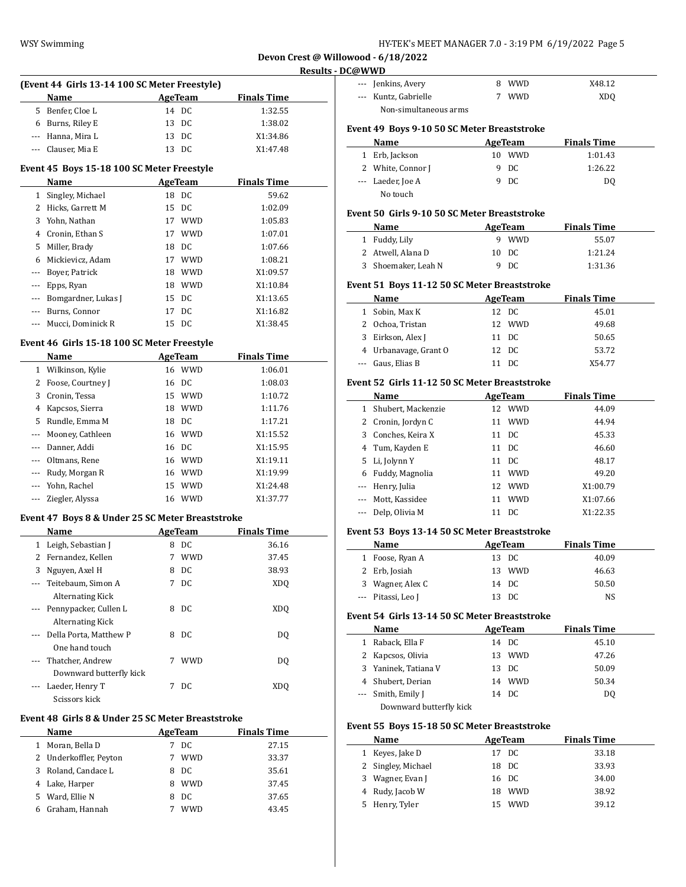| HY-TEK's MEET MANAGER 7.0 - 3:19 PM  6/19/2022  Page 5 |  |  |  |
|--------------------------------------------------------|--|--|--|
|--------------------------------------------------------|--|--|--|

| (Event 44 Girls 13-14 100 SC Meter Freestyle) |                    |    |         |                    |  |  |  |
|-----------------------------------------------|--------------------|----|---------|--------------------|--|--|--|
|                                               | <b>Name</b>        |    | AgeTeam | <b>Finals Time</b> |  |  |  |
|                                               | 5 Benfer, Cloe L   |    | 14 DC   | 1:32.55            |  |  |  |
|                                               | 6 Burns, Riley E   |    | 13 DC   | 1:38.02            |  |  |  |
|                                               | --- Hanna, Mira L  |    | 13 DC   | X1:34.86           |  |  |  |
|                                               | --- Clauser, Mia E | 13 | DC      | X1:47.48           |  |  |  |

### **Event 45 Boys 15-18 100 SC Meter Freestyle**

|       | Name                |    | AgeTeam    | <b>Finals Time</b> |
|-------|---------------------|----|------------|--------------------|
|       | Singley, Michael    |    | 18 DC      | 59.62              |
| 2     | Hicks, Garrett M    |    | 15 DC      | 1:02.09            |
| 3     | Yohn, Nathan        | 17 | <b>WWD</b> | 1:05.83            |
| 4     | Cronin, Ethan S     | 17 | <b>WWD</b> | 1:07.01            |
| 5.    | Miller, Brady       | 18 | DC.        | 1:07.66            |
| 6     | Mickievicz, Adam    | 17 | <b>WWD</b> | 1:08.21            |
| --- 1 | Boyer, Patrick      | 18 | <b>WWD</b> | X1:09.57           |
|       | --- Epps, Ryan      | 18 | <b>WWD</b> | X1:10.84           |
|       | Bomgardner, Lukas J |    | 15 DC      | X1:13.65           |
|       | Burns, Connor       | 17 | DC         | X1:16.82           |
|       | Mucci, Dominick R   | 15 | DC.        | X1:38.45           |

## **Event 46 Girls 15-18 100 SC Meter Freestyle**

|              | Name                 |    | AgeTeam    | <b>Finals Time</b> |
|--------------|----------------------|----|------------|--------------------|
| $\mathbf{1}$ | Wilkinson, Kylie     |    | 16 WWD     | 1:06.01            |
| 2            | Foose, Courtney J    |    | 16 DC      | 1:08.03            |
| 3            | Cronin, Tessa        |    | 15 WWD     | 1:10.72            |
| 4            | Kapcsos, Sierra      | 18 | <b>WWD</b> | 1:11.76            |
| 5.           | Rundle, Emma M       |    | 18 DC      | 1:17.21            |
|              | --- Mooney, Cathleen |    | 16 WWD     | X1:15.52           |
| $\cdots$     | Danner, Addi         |    | 16 DC      | X1:15.95           |
|              | Oltmans, Rene        |    | 16 WWD     | X1:19.11           |
| $\cdots$     | Rudy, Morgan R       | 16 | WWD        | X1:19.99           |
|              | Yohn, Rachel         | 15 | <b>WWD</b> | X1:24.48           |
|              | Ziegler, Alyssa      | 16 | <b>WWD</b> | X1:37.77           |

### **Event 47 Boys 8 & Under 25 SC Meter Breaststroke**

|              | Name                    |   | AgeTeam    | <b>Finals Time</b> |  |
|--------------|-------------------------|---|------------|--------------------|--|
| $\mathbf{1}$ | Leigh, Sebastian J      | 8 | DC         | 36.16              |  |
| 2            | Fernandez, Kellen       | 7 | <b>WWD</b> | 37.45              |  |
| 3            | Nguyen, Axel H          | 8 | DC.        | 38.93              |  |
|              | Teitebaum, Simon A      | 7 | DC         | XDO                |  |
|              | <b>Alternating Kick</b> |   |            |                    |  |
| $\cdots$     | Pennypacker, Cullen L   | 8 | DC         | XDO                |  |
|              | <b>Alternating Kick</b> |   |            |                    |  |
|              | Della Porta, Matthew P  | 8 | DC.        | DO.                |  |
|              | One hand touch          |   |            |                    |  |
|              | Thatcher, Andrew        | 7 | <b>WWD</b> | DO.                |  |
|              | Downward butterfly kick |   |            |                    |  |
|              | Laeder, Henry T         | 7 | DC.        | XDO                |  |
|              | Scissors kick           |   |            |                    |  |

### **Event 48 Girls 8 & Under 25 SC Meter Breaststroke**

 $\overline{a}$ 

|    | Name                   | AgeTeam |            | <b>Finals Time</b> |  |
|----|------------------------|---------|------------|--------------------|--|
|    | Moran, Bella D         |         | DC.        | 27.15              |  |
|    | 2 Underkoffler, Peyton |         | <b>WWD</b> | 33.37              |  |
|    | 3 Roland, Candace L    | 8       | DC.        | 35.61              |  |
|    | 4 Lake, Harper         | 8       | <b>WWD</b> | 37.45              |  |
| 5. | Ward, Ellie N          | 8       | DC.        | 37.65              |  |
|    | Graham, Hannah         |         | <b>WWD</b> | 43.45              |  |

| --- Jenkins, Avery    | 8 WWD | X48.12          |
|-----------------------|-------|-----------------|
| --- Kuntz, Gabrielle  | . WWD | XD <sub>0</sub> |
| Non-simultaneous arms |       |                 |

## **Event 49 Boys 9-10 50 SC Meter Breaststroke**

| Name              | AgeTeam |            | <b>Finals Time</b> |  |
|-------------------|---------|------------|--------------------|--|
| 1 Erb, Jackson    | 10      | <b>WWD</b> | 1:01.43            |  |
| 2 White, Connor J |         | 9 DC       | 1:26.22            |  |
| --- Laeder, Joe A |         | 9 DC       | DO.                |  |
| No touch          |         |            |                    |  |

### **Event 50 Girls 9-10 50 SC Meter Breaststroke**

| Name                | AgeTeam |       | <b>Finals Time</b> |  |
|---------------------|---------|-------|--------------------|--|
| 1 Fuddy, Lily       |         | 9 WWD | 55.07              |  |
| 2 Atwell, Alana D   |         | 10 DC | 1:21.24            |  |
| 3 Shoemaker, Leah N |         | 9 DC  | 1:31.36            |  |

## **Event 51 Boys 11-12 50 SC Meter Breaststroke**

| <b>Name</b>           | AgeTeam |        | <b>Finals Time</b> |  |
|-----------------------|---------|--------|--------------------|--|
| 1 Sobin, Max K        |         | 12 DC  | 45.01              |  |
| 2 Ochoa, Tristan      |         | 12 WWD | 49.68              |  |
| 3 Eirkson, Alex J     |         | 11 DC  | 50.65              |  |
| 4 Urbanavage, Grant O |         | 12 DC  | 53.72              |  |
| --- Gaus, Elias B     |         | - DC   | X54.77             |  |

# **Event 52 Girls 11-12 50 SC Meter Breaststroke**

| Name                 |    | AgeTeam    | <b>Finals Time</b> |
|----------------------|----|------------|--------------------|
| 1 Shubert, Mackenzie |    | 12 WWD     | 44.09              |
| 2 Cronin, Jordyn C   | 11 | <b>WWD</b> | 44.94              |
| 3 Conches, Keira X   |    | 11 DC      | 45.33              |
| 4 Tum, Kayden E      |    | 11 DC      | 46.60              |
| 5 Li, Jolynn Y       |    | 11 DC      | 48.17              |
| 6 Fuddy, Magnolia    | 11 | <b>WWD</b> | 49.20              |
| --- Henry, Julia     |    | 12 WWD     | X1:00.79           |
| --- Mott, Kassidee   | 11 | <b>WWD</b> | X1:07.66           |
| --- Delp, Olivia M   | 11 | DC.        | X1:22.35           |

#### **Event 53 Boys 13-14 50 SC Meter Breaststroke**

| Name               | AgeTeam | <b>Finals Time</b> |
|--------------------|---------|--------------------|
| 1 Foose, Ryan A    | 13 DC   | 40.09              |
| 2 Erb, Josiah      | 13 WWD  | 46.63              |
| 3 Wagner, Alex C   | 14 DC   | 50.50              |
| --- Pitassi, Leo J | 13 DC   | NS.                |

### **Event 54 Girls 13-14 50 SC Meter Breaststroke**

|   | Name                    | AgeTeam | <b>Finals Time</b> |
|---|-------------------------|---------|--------------------|
| 1 | Raback, Ella F          | 14 DC   | 45.10              |
|   | 2 Kapcsos, Olivia       | 13 WWD  | 47.26              |
|   | 3 Yaninek, Tatiana V    | 13 DC   | 50.09              |
|   | 4 Shubert, Derian       | 14 WWD  | 50.34              |
|   | --- Smith, Emily J      | 14 DC   | DO                 |
|   | Downword buttorfly kick |         |                    |

Downward butterfly kick

### **Event 55 Boys 15-18 50 SC Meter Breaststroke**

| Name               | AgeTeam | <b>Finals Time</b> |  |
|--------------------|---------|--------------------|--|
| 1 Keyes, Jake D    | 17 DC   | 33.18              |  |
| 2 Singley, Michael | 18 DC   | 33.93              |  |
| 3 Wagner, Evan J   | 16 DC   | 34.00              |  |
| 4 Rudy, Jacob W    | 18 WWD  | 38.92              |  |
| 5 Henry, Tyler     | 15 WWD  | 39.12              |  |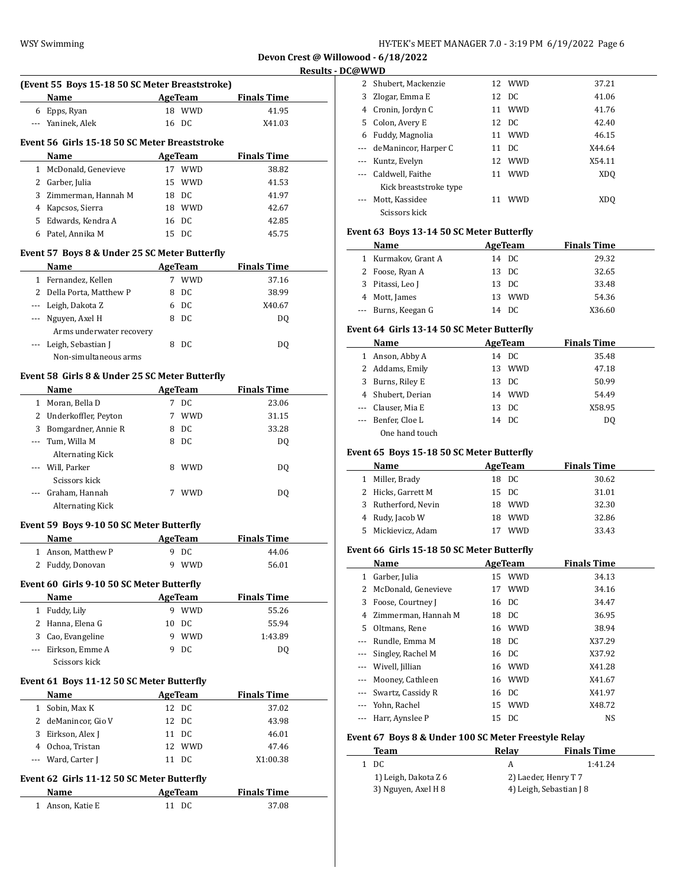$\overline{\phantom{0}}$ 

 $\overline{a}$ 

| (Event 55 Boys 15-18 50 SC Meter Breaststroke) |                                               |    |            |                    |  |
|------------------------------------------------|-----------------------------------------------|----|------------|--------------------|--|
|                                                | Name                                          |    | AgeTeam    | <b>Finals Time</b> |  |
| 6                                              | Epps, Ryan                                    | 18 | <b>WWD</b> | 41.95              |  |
|                                                | --- Yaninek, Alek                             |    | 16 DC      | X41.03             |  |
|                                                | Event 56 Girls 15-18 50 SC Meter Breaststroke |    |            |                    |  |
|                                                | <b>Name</b>                                   |    | AgeTeam    | <b>Finals Time</b> |  |
|                                                | 1 McDonald, Genevieve                         |    | 17 WWD     | 38.82              |  |
| $\mathbf{Z}$                                   | Garber, Julia                                 |    | 15 WWD     | 41.53              |  |
| 3.                                             | Zimmerman, Hannah M                           | 18 | DC.        | 41.97              |  |
| 4                                              | Kapcsos, Sierra                               | 18 | <b>WWD</b> | 42.67              |  |
| 5.                                             | Edwards, Kendra A                             |    | 16 DC      | 42.85              |  |
| 6                                              | Patel, Annika M                               |    | 15 DC      | 45.75              |  |

## **Event 57 Boys 8 & Under 25 SC Meter Butterfly**

|   | <b>Name</b>              |   | AgeTeam    | <b>Finals Time</b> |  |
|---|--------------------------|---|------------|--------------------|--|
| 1 | Fernandez, Kellen        |   | <b>WWD</b> | 37.16              |  |
|   | 2 Della Porta, Matthew P | 8 | DC         | 38.99              |  |
|   | --- Leigh, Dakota Z      | 6 | DC.        | X40.67             |  |
|   | --- Nguyen, Axel H       | 8 | DC.        | DO.                |  |
|   | Arms underwater recovery |   |            |                    |  |
|   | --- Leigh, Sebastian J   |   | DC.        | DO.                |  |
|   | Non-simultaneous arms    |   |            |                    |  |

# **Event 58 Girls 8 & Under 25 SC Meter Butterfly**

|          | <b>Name</b>             |   | AgeTeam    | <b>Finals Time</b> |  |
|----------|-------------------------|---|------------|--------------------|--|
|          | 1 Moran, Bella D        | 7 | DC         | 23.06              |  |
|          | 2 Underkoffler, Peyton  |   | <b>WWD</b> | 31.15              |  |
| 3        | Bomgardner, Annie R     | 8 | DC         | 33.28              |  |
| $\cdots$ | Tum, Willa M            | 8 | DC         | DO.                |  |
|          | <b>Alternating Kick</b> |   |            |                    |  |
| $\cdots$ | Will, Parker            | 8 | <b>WWD</b> | DO                 |  |
|          | Scissors kick           |   |            |                    |  |
|          | Graham, Hannah          | 7 | <b>WWD</b> | DO                 |  |
|          | Alternating Kick        |   |            |                    |  |

### **Event 59 Boys 9-10 50 SC Meter Butterfly**

| Name               | AgeTeam    | <b>Finals Time</b> |
|--------------------|------------|--------------------|
| 1 Anson. Matthew P | 9 DC       | 44.06              |
| 2 Fuddy, Donovan   | <b>WWD</b> | 56.01              |

## **Event 60 Girls 9-10 50 SC Meter Butterfly**

| <b>Name</b>         | AgeTeam |            | <b>Finals Time</b> |  |
|---------------------|---------|------------|--------------------|--|
| Fuddy, Lily         |         | <b>WWD</b> | 55.26              |  |
| 2 Hanna, Elena G    | 10      | DC         | 55.94              |  |
| 3 Cao, Evangeline   | q       | <b>WWD</b> | 1:43.89            |  |
| --- Eirkson, Emme A |         | - DC       | DO.                |  |
| Scissors kick       |         |            |                    |  |

### **Event 61 Boys 11-12 50 SC Meter Butterfly**

|                                             | <b>Name</b>         |  | AgeTeam | <b>Finals Time</b> |  |  |
|---------------------------------------------|---------------------|--|---------|--------------------|--|--|
| 1                                           | Sobin, Max K        |  | 12 DC   | 37.02              |  |  |
|                                             | 2 deManincor, Gio V |  | 12 DC   | 43.98              |  |  |
| 3                                           | Eirkson, Alex J     |  | 11 DC   | 46.01              |  |  |
| 4                                           | Ochoa, Tristan      |  | 12 WWD  | 47.46              |  |  |
|                                             | --- Ward, Carter J  |  | 11 DC   | X1:00.38           |  |  |
| Event 62  Girls 11-12 50 SC Meter Butterfly |                     |  |         |                    |  |  |

**Name Age Team Finals Time** 1 Anson, Katie E 11 DC 37.08

| 2  | Shubert, Mackenzie     |    | 12 WWD     | 37.21  |
|----|------------------------|----|------------|--------|
| 3  | Zlogar, Emma E         |    | 12 DC      | 41.06  |
| 4  | Cronin, Jordyn C       | 11 | <b>WWD</b> | 41.76  |
| 5. | Colon, Avery E         |    | 12 DC      | 42.40  |
| 6  | Fuddy, Magnolia        | 11 | <b>WWD</b> | 46.15  |
|    | deManincor, Harper C   |    | 11 DC      | X44.64 |
|    | Kuntz, Evelyn          | 12 | <b>WWD</b> | X54.11 |
|    | Caldwell, Faithe       | 11 | <b>WWD</b> | XDO    |
|    | Kick breaststroke type |    |            |        |
|    | Mott, Kassidee         |    | <b>WWD</b> | XDO    |
|    | Scissors kick          |    |            |        |

## **Event 63 Boys 13-14 50 SC Meter Butterfly**

| Name                | AgeTeam |        | <b>Finals Time</b> |
|---------------------|---------|--------|--------------------|
| 1 Kurmakov, Grant A | 14 DC   |        | 29.32              |
| 2 Foose, Ryan A     | 13 DC   |        | 32.65              |
| 3 Pitassi, Leo J    | 13 DC   |        | 33.48              |
| 4 Mott, James       |         | 13 WWD | 54.36              |
| --- Burns, Keegan G | 14 DC   |        | X36.60             |

## **Event 64 Girls 13-14 50 SC Meter Butterfly**

| Name               | AgeTeam | <b>Finals Time</b> |  |
|--------------------|---------|--------------------|--|
| 1 Anson, Abby A    | 14 DC   | 35.48              |  |
| 2 Addams, Emily    | 13 WWD  | 47.18              |  |
| 3 Burns, Riley E   | 13 DC   | 50.99              |  |
| 4 Shubert, Derian  | 14 WWD  | 54.49              |  |
| --- Clauser, Mia E | 13 DC   | X58.95             |  |
| --- Benfer, Cloe L | 14 DC   | DO.                |  |
| One hand touch     |         |                    |  |

### **Event 65 Boys 15-18 50 SC Meter Butterfly**

|   | Name               | AgeTeam           | <b>Finals Time</b> |
|---|--------------------|-------------------|--------------------|
|   | Miller, Brady      | 18 DC             | 30.62              |
|   | 2 Hicks, Garrett M | 15 DC             | 31.01              |
| 3 | Rutherford, Nevin  | <b>WWD</b><br>18. | 32.30              |
|   | 4 Rudy, Jacob W    | WWD<br>18.        | 32.86              |
| 5 | Mickievicz, Adam   | <b>WWD</b>        | 33.43              |

#### **Event 66 Girls 15-18 50 SC Meter Butterfly**

|                | Name                  | AgeTeam | <b>Finals Time</b> |  |
|----------------|-----------------------|---------|--------------------|--|
|                | 1 Garber, Julia       | 15 WWD  | 34.13              |  |
| $\overline{2}$ | McDonald, Genevieve   | 17 WWD  | 34.16              |  |
| 3              | Foose, Courtney J     | 16 DC   | 34.47              |  |
|                | 4 Zimmerman, Hannah M | 18 DC   | 36.95              |  |
| 5.             | Oltmans, Rene         | 16 WWD  | 38.94              |  |
|                | --- Rundle, Emma M    | 18 DC   | X37.29             |  |
|                | --- Singley, Rachel M | 16 DC   | X37.92             |  |
|                | --- Wivell, Jillian   | 16 WWD  | X41.28             |  |
|                | --- Mooney, Cathleen  | 16 WWD  | X41.67             |  |
|                | --- Swartz, Cassidy R | 16 DC   | X41.97             |  |
|                | --- Yohn, Rachel      | 15 WWD  | X48.72             |  |
| $\cdots$       | Harr, Aynslee P       | 15 DC   | NS                 |  |

### **Event 67 Boys 8 & Under 100 SC Meter Freestyle Relay**

| Team                 | Relav                | <b>Finals Time</b>      |
|----------------------|----------------------|-------------------------|
| 1 DC.                | А                    | 1:41.24                 |
| 1) Leigh, Dakota Z 6 | 2) Laeder, Henry T 7 |                         |
| 3) Nguyen, Axel H 8  |                      | 4) Leigh, Sebastian J 8 |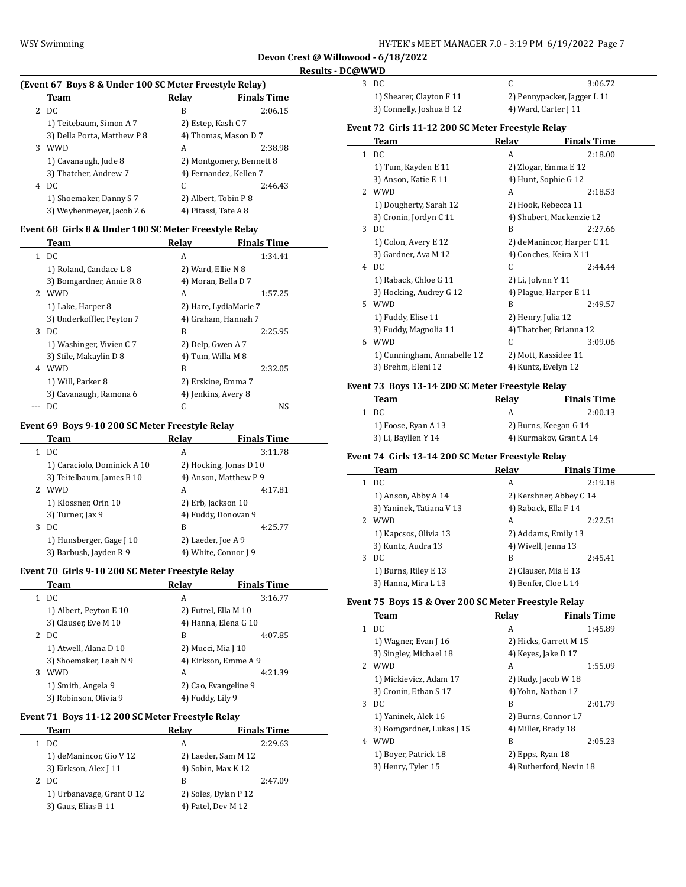$\overline{a}$ 

 $\overline{a}$ 

**Devon Crest @ Willowood - 6/18/2022 Results - DC@WWD**

 $\frac{1}{2}$ 

 $\overline{a}$ 

 $\frac{1}{2}$ 

#### **(Event 67 Boys 8 & Under 100 SC Meter Freestyle Relay)**

|   | Team                        | Relav | <b>Finals Time</b>       |
|---|-----------------------------|-------|--------------------------|
|   | 2 DC                        | B     | 2:06.15                  |
|   | 1) Teitebaum, Simon A 7     |       | 2) Estep, Kash C 7       |
|   | 3) Della Porta, Matthew P 8 |       | 4) Thomas, Mason D 7     |
| 3 | <b>WWD</b>                  | A     | 2:38.98                  |
|   | 1) Cavanaugh, Jude 8        |       | 2) Montgomery, Bennett 8 |
|   | 3) Thatcher, Andrew 7       |       | 4) Fernandez, Kellen 7   |
| 4 | DC.                         | C     | 2:46.43                  |
|   | 1) Shoemaker, Danny S 7     |       | 2) Albert, Tobin P 8     |
|   | 3) Weyhenmeyer, Jacob Z 6   |       | 4) Pitassi, Tate A 8     |
|   |                             |       |                          |

## **Event 68 Girls 8 & Under 100 SC Meter Freestyle Relay**

|   | Team                      | Relav              | <b>Finals Time</b>    |
|---|---------------------------|--------------------|-----------------------|
|   | 1 DC                      | A                  | 1:34.41               |
|   | 1) Roland, Candace L 8    | 2) Ward, Ellie N 8 |                       |
|   | 3) Bomgardner, Annie R 8  |                    | 4) Moran, Bella D 7   |
|   | 2 WWD                     | A                  | 1:57.25               |
|   | 1) Lake, Harper 8         |                    | 2) Hare, LydiaMarie 7 |
|   | 3) Underkoffler, Peyton 7 |                    | 4) Graham, Hannah 7   |
| 3 | DC.                       | B                  | 2:25.95               |
|   | 1) Washinger, Vivien C 7  | 2) Delp, Gwen A 7  |                       |
|   | 3) Stile, Makaylin D 8    | 4) Tum, Willa M 8  |                       |
| 4 | <b>WWD</b>                | B                  | 2:32.05               |
|   | 1) Will, Parker 8         |                    | 2) Erskine, Emma 7    |
|   | 3) Cavanaugh, Ramona 6    |                    | 4) Jenkins, Avery 8   |
|   | DC                        |                    | <b>NS</b>             |

## **Event 69 Boys 9-10 200 SC Meter Freestyle Relay**

|    | Team                        | Relav | <b>Finals Time</b>     |  |
|----|-----------------------------|-------|------------------------|--|
|    | DC                          | A     | 3:11.78                |  |
|    | 1) Caraciolo, Dominick A 10 |       | 2) Hocking, Jonas D 10 |  |
|    | 3) Teitelbaum, James B 10   |       | 4) Anson, Matthew P 9  |  |
| 2. | <b>WWD</b>                  | A     | 4:17.81                |  |
|    | 1) Klossner, Orin 10        |       | 2) Erb, Jackson 10     |  |
|    | 3) Turner, Jax 9            |       | 4) Fuddy, Donovan 9    |  |
| 3  | DC                          | B     | 4:25.77                |  |
|    | 1) Hunsberger, Gage J 10    |       | 2) Laeder, Joe A 9     |  |
|    | 3) Barbush, Jayden R 9      |       | 4) White, Connor J 9   |  |

### **Event 70 Girls 9-10 200 SC Meter Freestyle Relay**

|   | Team                   | Relav                | <b>Finals Time</b>   |
|---|------------------------|----------------------|----------------------|
|   | DC                     | A                    | 3:16.77              |
|   | 1) Albert, Peyton E 10 | 2) Futrel, Ella M 10 |                      |
|   | 3) Clauser, Eve M 10   |                      | 4) Hanna, Elena G 10 |
| 2 | DC                     | B                    | 4:07.85              |
|   | 1) Atwell, Alana D 10  | 2) Mucci, Mia J 10   |                      |
|   | 3) Shoemaker, Leah N 9 |                      | 4) Eirkson, Emme A 9 |
| 3 | WWD                    | А                    | 4:21.39              |
|   | 1) Smith, Angela 9     | 2) Cao, Evangeline 9 |                      |
|   | 3) Robinson, Olivia 9  | 4) Fuddy, Lily 9     |                      |

## **Event 71 Boys 11-12 200 SC Meter Freestyle Relay**

|    | Team                      | Relay                | <b>Finals Time</b> |
|----|---------------------------|----------------------|--------------------|
| 1. | DC                        | А                    | 2:29.63            |
|    | 1) deManincor, Gio V 12   | 2) Laeder, Sam M 12  |                    |
|    | 3) Eirkson, Alex J 11     | 4) Sobin, Max K 12   |                    |
|    | 2 DC                      | в                    | 2:47.09            |
|    | 1) Urbanavage, Grant 0 12 | 2) Soles, Dylan P 12 |                    |
|    | 3) Gaus, Elias B 11       | 4) Patel, Dev M 12   |                    |
|    |                           |                      |                    |

| 3 DC                     |                             | 3:06.72 |
|--------------------------|-----------------------------|---------|
| 1) Shearer, Clayton F 11 | 2) Pennypacker, Jagger L 11 |         |
| 2) Connolly Jochua R 12  | $\Lambda$ Ward Cartor I 11  |         |

3) Connelly, Joshua B 12 4) Ward, Carter J 11

## **Event 72 Girls 11-12 200 SC Meter Freestyle Relay**

|               | Team                        | Relay | <b>Finals Time</b>         |
|---------------|-----------------------------|-------|----------------------------|
| $\mathbf{1}$  | DC                          | A     | 2:18.00                    |
|               | 1) Tum, Kayden E 11         |       | 2) Zlogar, Emma E 12       |
|               | 3) Anson, Katie E 11        |       | 4) Hunt, Sophie G 12       |
| $\mathcal{P}$ | <b>WWD</b>                  | A     | 2:18.53                    |
|               | 1) Dougherty, Sarah 12      |       | 2) Hook, Rebecca 11        |
|               | 3) Cronin, Jordyn C 11      |       | 4) Shubert, Mackenzie 12   |
| 3             | DC.                         | B     | 2:27.66                    |
|               | 1) Colon, Avery E 12        |       | 2) deManincor, Harper C 11 |
|               | 3) Gardner, Ava M 12        |       | 4) Conches, Keira X 11     |
| 4             | DC.                         | C     | 2:44.44                    |
|               | 1) Raback, Chloe G 11       |       | 2) Li, Jolynn Y 11         |
|               | 3) Hocking, Audrey G 12     |       | 4) Plague, Harper E 11     |
| 5.            | <b>WWD</b>                  | B     | 2:49.57                    |
|               | 1) Fuddy, Elise 11          |       | 2) Henry, Julia 12         |
|               | 3) Fuddy, Magnolia 11       |       | 4) Thatcher, Brianna 12    |
| 6             | <b>WWD</b>                  | C     | 3:09.06                    |
|               | 1) Cunningham, Annabelle 12 |       | 2) Mott, Kassidee 11       |
|               | 3) Brehm, Eleni 12          |       | 4) Kuntz, Evelyn 12        |

## **Event 73 Boys 13-14 200 SC Meter Freestyle Relay**

| Team |                     | Relav                   | <b>Finals Time</b>    |
|------|---------------------|-------------------------|-----------------------|
| DC.  |                     | А                       | 2:00.13               |
|      | 1) Foose, Ryan A 13 |                         | 2) Burns, Keegan G 14 |
|      | 3) Li, Bayllen Y 14 | 4) Kurmakov, Grant A 14 |                       |

## **Event 74 Girls 13-14 200 SC Meter Freestyle Relay**

|   | Team                     | Relav                   | <b>Finals Time</b>   |
|---|--------------------------|-------------------------|----------------------|
|   | DC                       | А                       | 2:19.18              |
|   | 1) Anson, Abby A 14      | 2) Kershner, Abbey C 14 |                      |
|   | 3) Yaninek, Tatiana V 13 | 4) Raback, Ella F 14    |                      |
| 2 | WWD                      | A                       | 2:22.51              |
|   | 1) Kapcsos, Olivia 13    |                         | 2) Addams, Emily 13  |
|   | 3) Kuntz, Audra 13       |                         | 4) Wivell, Jenna 13  |
| 3 | DC.                      | B                       | 2:45.41              |
|   | 1) Burns, Riley E 13     |                         | 2) Clauser, Mia E 13 |
|   | 3) Hanna, Mira L 13      |                         | 4) Benfer, Cloe L 14 |

#### **Event 75 Boys 15 & Over 200 SC Meter Freestyle Relay**

|                | Team                      | Relav                  | <b>Finals Time</b>      |
|----------------|---------------------------|------------------------|-------------------------|
| 1.             | DC                        | A                      | 1:45.89                 |
|                | 1) Wagner, Evan $[16]$    | 2) Hicks, Garrett M 15 |                         |
|                | 3) Singley, Michael 18    | 4) Keyes, Jake D 17    |                         |
| $\overline{2}$ | <b>WWD</b>                | A                      | 1:55.09                 |
|                | 1) Mickievicz, Adam 17    |                        | 2) Rudy, Jacob W 18     |
|                | 3) Cronin, Ethan S 17     |                        | 4) Yohn, Nathan 17      |
| 3              | DC                        | B                      | 2:01.79                 |
|                | 1) Yaninek, Alek 16       | 2) Burns, Connor 17    |                         |
|                | 3) Bomgardner, Lukas J 15 |                        | 4) Miller, Brady 18     |
| 4              | <b>WWD</b>                | B                      | 2:05.23                 |
|                | 1) Boyer, Patrick 18      |                        | 2) Epps, Ryan 18        |
|                | 3) Henry, Tyler 15        |                        | 4) Rutherford, Nevin 18 |